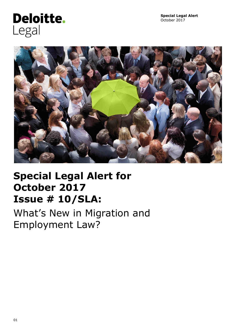# **Deloitte.** Legal



## **Special Legal Alert for October 2017 Issue # 10/SLA:**

What's New in Migration and Employment Law?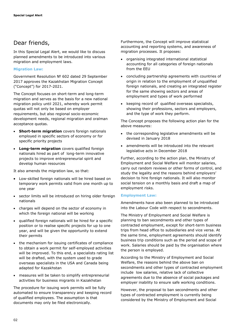## Dear friends,

In this Special Legal Alert, we would like to discuss planned amendments to be introduced into various migration and employment laws.

#### **Migration Law:**

Government Resolution № 602 dated 29 September 2017 approves the Kazakhstan Migration Concept ("Concept") for 2017-2021.

The Concept focuses on short-term and long-term migration and serves as the basis for a new national migration policy until 2021, whereby work permit quotas will not only be based on employer requirements, but also regional socio-economic development needs, regional migration and oralman acceptance quotas.

- **Short-term migration** covers foreign nationals employed in specific sectors of economy or for specific priority projects
- **Long-term migration** covers qualified foreign nationals hired as part of long-term innovative projects to improve entrepreneurial spirit and develop human resources

It also amends the migration law, so that:

- Low-skilled foreign nationals will be hired based on temporary work permits valid from one month up to one year
- sector limits will be introduced on hiring older foreign nationals
- charges will depend on the sector of economy in which the foreign national will be working
- qualified foreign nationals will be hired for a specific position or to realise specific projects for up to one year, and will be given the opportunity to extend their permits
- the mechanism for issuing certificates of compliance to obtain a work permit for self-employed activities will be improved. To this end, a specialists rating list will be drafted, with the system used to grade overseas specialists in the USA and Canada being adapted for Kazakhstan
- measures will be taken to simplify entrepreneurial activities for business migrants in Kazakhstan

The procedure for issuing work permits will be fully automated to ensure transparency and keeping record of qualified employees. The assumption is that documents may only be filed electronically.

Furthermore, the Concept will improve statistical accounting and reporting systems, and awareness of migration processes. It proposes:

- organising integrated international statistical accounting for all categories of foreign nationals from the EEU
- concluding partnership agreements with countries of origin in relation to the employment of unqualified foreign nationals, and creating an integrated register for the same showing sectors and areas of employment and types of work performed
- keeping record of qualified overseas specialists, showing their professions, sectors and employers, and the type of work they perform.

The Concept proposes the following action plan for the above measures:

- the corresponding legislative amendments will be devised in January 2018
- amendments will be introduced into the relevant legislative acts in December 2018

Further, according to the action plan, the Ministry of Employment and Social Welfare will monitor salaries, carry out random reviews or other forms of control, and study the legality and the reasons behind employers' decision to hire foreign nationals. It will also monitor social tension on a monthly basis and draft a map of employment risks.

#### **Employment Law:**

Amendments have also been planned to be introduced into the Labour Code with respect to secondments.

The Ministry of Employment and Social Welfare is planning to ban secondments and other types of contracted employment, except for short-term business trips from head office to subsidiaries and vice versa. At the same time, employment agreements should identify business trip conditions such as the period and scope of work. Salaries should be paid by the organisation where the person is employed.

According to the Ministry of Employment and Social Welfare, the reasons behind the above ban on secondments and other types of contracted employment include low salaries, relative lack of collective agreements due to the absence of social packages and employer inability to ensure safe working conditions.

However, the proposal to ban secondments and other types of contracted employment is currently being considered by the Ministry of Employment and Social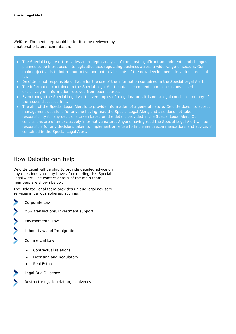Welfare. The next step would be for it to be reviewed by a national trilateral commission.

- The Special Legal Alert provides an in-depth analysis of the most significant amendments and changes planned to be introduced into legislative acts regulating business across a wide range of sectors. Our main objective is to inform our active and potential clients of the new developments in various areas of law.
- Deloitte is not responsible or liable for the use of the information contained in the Special Legal Alert.
- The information contained in the Special Legal Alert contains comments and conclusions based exclusively on information received from open sources.
- Even though the Special Legal Alert covers topics of a legal nature, it is not a legal conclusion on any of the issues discussed in it.
- The aim of the Special Legal Alert is to provide information of a general nature. Deloitte does not accept management decisions for anyone having read the Special Legal Alert, and also does not take responsibility for any decisions taken based on the details provided in the Special Legal Alert. Our conclusions are of an exclusively informative nature. Anyone having read the Special Legal Alert will be responsible for any decisions taken to implement or refuse to implement recommendations and advice, if contained in the Special Legal Alert.

## How Deloitte can help

Deloitte Legal will be glad to provide detailed advice on any questions you may have after reading this Special Legal Alert. The contact details of the main team members are shown below.

The Deloitte Legal team provides unique legal advisory services in various spheres, such as:

Corporate Law

M&A transactions, investment support

Environmental Law

Labour Law and Immigration

Commercial Law:

- Contractual relations
- Licensing and Regulatory
- Real Estate

Legal Due Diligence



Restructuring, liquidation, insolvency

03